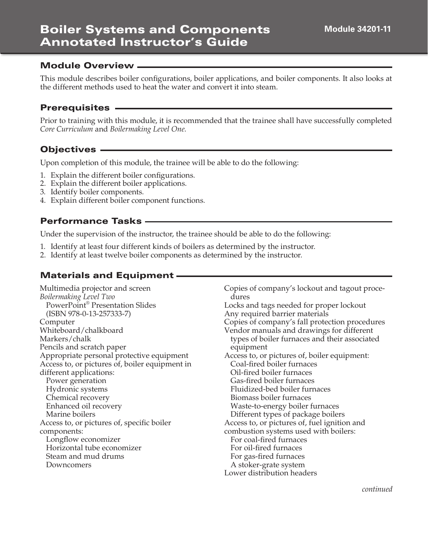#### Module Overview

This module describes boiler configurations, boiler applications, and boiler components. It also looks at the different methods used to heat the water and convert it into steam.

#### Prerequisites

Prior to training with this module, it is recommended that the trainee shall have successfully completed *Core Curriculum* and *Boilermaking Level One*.

#### Objectives

Upon completion of this module, the trainee will be able to do the following:

- 1. Explain the different boiler configurations.
- 2. Explain the different boiler applications.
- 3. Identify boiler components.
- 4. Explain different boiler component functions.

## Performance Tasks

Under the supervision of the instructor, the trainee should be able to do the following:

- 1. Identify at least four different kinds of boilers as determined by the instructor.
- 2. Identify at least twelve boiler components as determined by the instructor.

## Materials and Equipment

Multimedia projector and screen *Boilermaking Level Two* PowerPoint® Presentation Slides (ISBN 978-0-13-257333-7) Computer Whiteboard/chalkboard Markers/chalk Pencils and scratch paper Appropriate personal protective equipment Access to, or pictures of, boiler equipment in different applications: Power generation Hydronic systems Chemical recovery Enhanced oil recovery Marine boilers Access to, or pictures of, specific boiler components: Longflow economizer Horizontal tube economizer Steam and mud drums Downcomers

dures Locks and tags needed for proper lockout Any required barrier materials Copies of company's fall protection procedures Vendor manuals and drawings for different types of boiler furnaces and their associated equipment Access to, or pictures of, boiler equipment: Coal-fired boiler furnaces Oil-fired boiler furnaces Gas-fired boiler furnaces Fluidized-bed boiler furnaces Biomass boiler furnaces Waste-to-energy boiler furnaces Different types of package boilers Access to, or pictures of, fuel ignition and combustion systems used with boilers: For coal-fired furnaces For oil-fired furnaces For gas-fired furnaces A stoker-grate system Lower distribution headers

Copies of company's lockout and tagout proce-

*continued*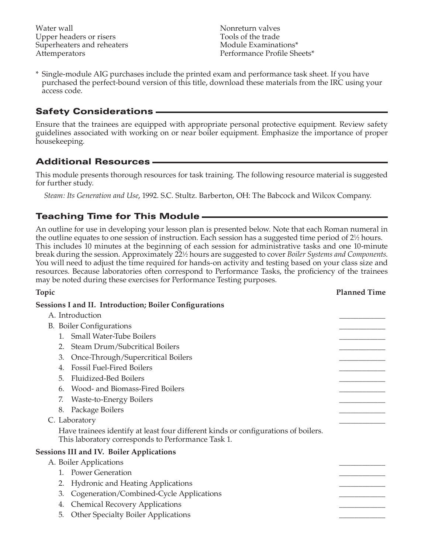Water wall Upper headers or risers Superheaters and reheaters Attemperators

Nonreturn valves Tools of the trade Module Examinations\* Performance Profile Sheets\*

\* Single-module AIG purchases include the printed exam and performance task sheet. If you have purchased the perfect-bound version of this title, download these materials from the IRC using your access code.

## Safety Considerations

Ensure that the trainees are equipped with appropriate personal protective equipment. Review safety guidelines associated with working on or near boiler equipment. Emphasize the importance of proper housekeeping.

#### Additional Resources

This module presents thorough resources for task training. The following resource material is suggested for further study.

*Steam: Its Generation and Use*, 1992. S.C. Stultz. Barberton, OH: The Babcock and Wilcox Company.

# Teaching Time for This Module

An outline for use in developing your lesson plan is presented below. Note that each Roman numeral in the outline equates to one session of instruction. Each session has a suggested time period of 2½ hours. This includes 10 minutes at the beginning of each session for administrative tasks and one 10-minute break during the session. Approximately 221 ⁄2 hours are suggested to cover *Boiler Systems and Components*. You will need to adjust the time required for hands-on activity and testing based on your class size and resources. Because laboratories often correspond to Performance Tasks, the proficiency of the trainees may be noted during these exercises for Performance Testing purposes.

| Topic                                                                                                                                    | <b>Planned Time</b> |
|------------------------------------------------------------------------------------------------------------------------------------------|---------------------|
| <b>Sessions I and II. Introduction; Boiler Configurations</b>                                                                            |                     |
| A. Introduction                                                                                                                          |                     |
| <b>B.</b> Boiler Configurations                                                                                                          |                     |
| <b>Small Water-Tube Boilers</b><br>1.                                                                                                    |                     |
| Steam Drum/Subcritical Boilers<br>2.                                                                                                     |                     |
| Once-Through/Supercritical Boilers<br>3.                                                                                                 |                     |
| <b>Fossil Fuel-Fired Boilers</b><br>4.                                                                                                   |                     |
| <b>Fluidized-Bed Boilers</b><br>5.                                                                                                       |                     |
| Wood- and Biomass-Fired Boilers<br>6.                                                                                                    |                     |
| <b>Waste-to-Energy Boilers</b><br>7.                                                                                                     |                     |
| Package Boilers<br>8.                                                                                                                    |                     |
| C. Laboratory                                                                                                                            |                     |
| Have trainees identify at least four different kinds or configurations of boilers.<br>This laboratory corresponds to Performance Task 1. |                     |
| <b>Sessions III and IV. Boiler Applications</b>                                                                                          |                     |
| A. Boiler Applications                                                                                                                   |                     |
| <b>Power Generation</b><br>$1_{-}$                                                                                                       |                     |
| Hydronic and Heating Applications<br>2.                                                                                                  |                     |
| Cogeneration/Combined-Cycle Applications<br>3.                                                                                           |                     |
| <b>Chemical Recovery Applications</b><br>4.                                                                                              |                     |
| <b>Other Specialty Boiler Applications</b><br>5.                                                                                         |                     |
|                                                                                                                                          |                     |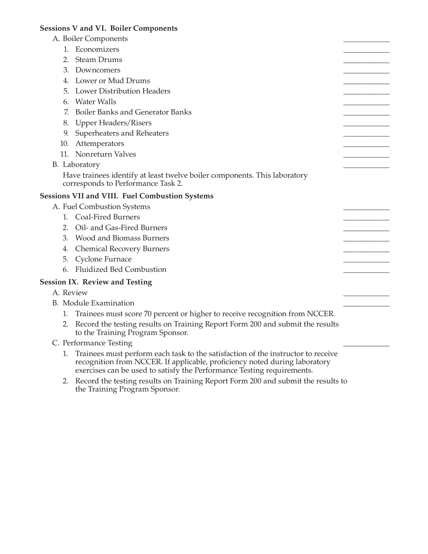# **Sessions V and VI. Boiler Components**

|    | A. Boiler Components                                                                                                                                                                                                                     |  |
|----|------------------------------------------------------------------------------------------------------------------------------------------------------------------------------------------------------------------------------------------|--|
|    | 1. Economizers                                                                                                                                                                                                                           |  |
|    | 2. Steam Drums                                                                                                                                                                                                                           |  |
|    | 3. Downcomers                                                                                                                                                                                                                            |  |
|    | 4. Lower or Mud Drums                                                                                                                                                                                                                    |  |
|    | 5. Lower Distribution Headers                                                                                                                                                                                                            |  |
|    | 6. Water Walls                                                                                                                                                                                                                           |  |
| 7. | <b>Boiler Banks and Generator Banks</b>                                                                                                                                                                                                  |  |
|    | 8. Upper Headers/Risers                                                                                                                                                                                                                  |  |
|    | 9. Superheaters and Reheaters                                                                                                                                                                                                            |  |
|    | 10. Attemperators                                                                                                                                                                                                                        |  |
|    | 11. Nonreturn Valves                                                                                                                                                                                                                     |  |
|    | B. Laboratory                                                                                                                                                                                                                            |  |
|    | Have trainees identify at least twelve boiler components. This laboratory<br>corresponds to Performance Task 2.                                                                                                                          |  |
|    | <b>Sessions VII and VIII. Fuel Combustion Systems</b>                                                                                                                                                                                    |  |
|    | A. Fuel Combustion Systems                                                                                                                                                                                                               |  |
|    | 1. Coal-Fired Burners                                                                                                                                                                                                                    |  |
|    | 2. Oil- and Gas-Fired Burners                                                                                                                                                                                                            |  |
|    | 3. Wood and Biomass Burners                                                                                                                                                                                                              |  |
|    | 4. Chemical Recovery Burners                                                                                                                                                                                                             |  |
|    | 5. Cyclone Furnace                                                                                                                                                                                                                       |  |
|    | 6. Fluidized Bed Combustion                                                                                                                                                                                                              |  |
|    | <b>Session IX. Review and Testing</b>                                                                                                                                                                                                    |  |
|    | A. Review                                                                                                                                                                                                                                |  |
|    | <b>B.</b> Module Examination                                                                                                                                                                                                             |  |
| 1. | Trainees must score 70 percent or higher to receive recognition from NCCER.                                                                                                                                                              |  |
|    | 2. Record the testing results on Training Report Form 200 and submit the results<br>to the Training Program Sponsor.                                                                                                                     |  |
|    | C. Performance Testing                                                                                                                                                                                                                   |  |
| 1. | Trainees must perform each task to the satisfaction of the instructor to receive<br>recognition from NCCER. If applicable, proficiency noted during laboratory<br>exercises can be used to satisfy the Performance Testing requirements. |  |
|    | 2. Record the testing results on Training Report Form 200 and submit the results to<br>the Training Program Sponsor.                                                                                                                     |  |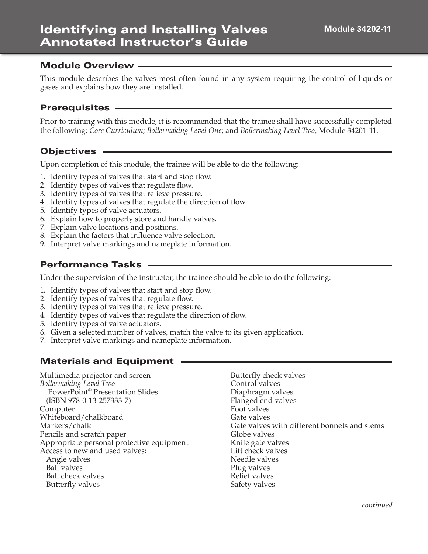#### Module Overview

This module describes the valves most often found in any system requiring the control of liquids or gases and explains how they are installed.

#### Prerequisites

Prior to training with this module, it is recommended that the trainee shall have successfully completed the following: *Core Curriculum; Boilermaking Level One*; and *Boilermaking Level Two,* Module 34201-11.

## Objectives

Upon completion of this module, the trainee will be able to do the following:

- 1. Identify types of valves that start and stop flow.
- 2. Identify types of valves that regulate flow.
- 3. Identify types of valves that relieve pressure.
- 4. Identify types of valves that regulate the direction of flow.
- 5. Identify types of valve actuators.
- 6. Explain how to properly store and handle valves.
- 7. Explain valve locations and positions.
- 8. Explain the factors that influence valve selection.
- 9. Interpret valve markings and nameplate information.

# Performance Tasks

Under the supervision of the instructor, the trainee should be able to do the following:

- 1. Identify types of valves that start and stop flow.
- 2. Identify types of valves that regulate flow.
- 3. Identify types of valves that relieve pressure.
- 4. Identify types of valves that regulate the direction of flow.
- 5. Identify types of valve actuators.
- 6. Given a selected number of valves, match the valve to its given application.
- 7. Interpret valve markings and nameplate information.

#### Materials and Equipment

Multimedia projector and screen *Boilermaking Level Two* PowerPoint® Presentation Slides (ISBN 978-0-13-257333-7) Computer Whiteboard/chalkboard Markers/chalk Pencils and scratch paper Appropriate personal protective equipment Access to new and used valves: Angle valves Ball valves Ball check valves Butterfly valves

Butterfly check valves Control valves Diaphragm valves Flanged end valves Foot valves Gate valves Gate valves with different bonnets and stems Globe valves Knife gate valves Lift check valves Needle valves Plug valves Relief valves Safety valves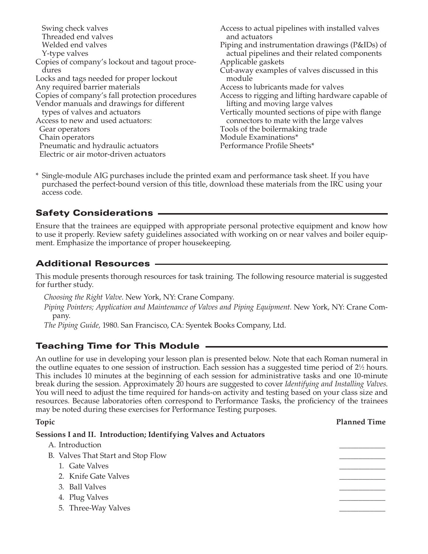- Swing check valves Threaded end valves Welded end valves Y-type valves Copies of company's lockout and tagout procedures Locks and tags needed for proper lockout Any required barrier materials Copies of company's fall protection procedures Vendor manuals and drawings for different types of valves and actuators Access to new and used actuators: Gear operators Chain operators Pneumatic and hydraulic actuators Electric or air motor-driven actuators
- Access to actual pipelines with installed valves and actuators Piping and instrumentation drawings (P&IDs) of actual pipelines and their related components Applicable gaskets Cut-away examples of valves discussed in this module Access to lubricants made for valves Access to rigging and lifting hardware capable of lifting and moving large valves Vertically mounted sections of pipe with flange connectors to mate with the large valves Tools of the boilermaking trade Module Examinations\* Performance Profile Sheets\*
- \* Single-module AIG purchases include the printed exam and performance task sheet. If you have purchased the perfect-bound version of this title, download these materials from the IRC using your access code.

# **Safety Considerations**

Ensure that the trainees are equipped with appropriate personal protective equipment and know how to use it properly. Review safety guidelines associated with working on or near valves and boiler equipment. Emphasize the importance of proper housekeeping.

# Additional Resources

This module presents thorough resources for task training. The following resource material is suggested for further study.

*Choosing the Right Valve*. New York, NY: Crane Company.

*Piping Pointers; Application and Maintenance of Valves and Piping Equipment*. New York, NY: Crane Company.

*The Piping Guide,* 1980. San Francisco, CA: Syentek Books Company, Ltd.

# Teaching Time for This Module

An outline for use in developing your lesson plan is presented below. Note that each Roman numeral in the outline equates to one session of instruction. Each session has a suggested time period of 2½ hours. This includes 10 minutes at the beginning of each session for administrative tasks and one 10-minute break during the session. Approximately 20 hours are suggested to cover *Identifying and Installing Valves*. You will need to adjust the time required for hands-on activity and testing based on your class size and resources. Because laboratories often correspond to Performance Tasks, the proficiency of the trainees may be noted during these exercises for Performance Testing purposes.

| Topic                                                             | <b>Planned Time</b> |
|-------------------------------------------------------------------|---------------------|
| Sessions I and II. Introduction; Identifying Valves and Actuators |                     |
| A. Introduction                                                   |                     |
| B. Valves That Start and Stop Flow                                |                     |
| 1. Gate Valves                                                    |                     |
| 2. Knife Gate Valves                                              |                     |
| 3. Ball Valves                                                    |                     |
| 4. Plug Valves                                                    |                     |
| 5. Three-Way Valves                                               |                     |
|                                                                   |                     |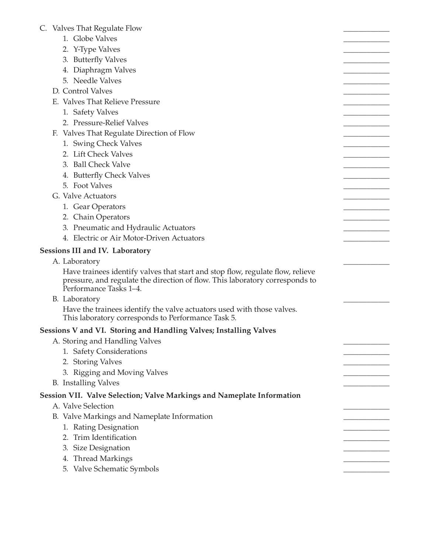#### C. Valves That Regulate Flow

- 1. Globe Valves
- 2. Y-Type Valves
- 3. Butterfly Valves
- 4. Diaphragm Valves
- 5. Needle Valves
- D. Control Valves
- E. Valves That Relieve Pressure
	- 1. Safety Valves
	- 2. Pressure-Relief Valves
- F. Valves That Regulate Direction of Flow
	- 1. Swing Check Valves
	- 2. Lift Check Valves
	- 3. Ball Check Valve
	- 4. Butterfly Check Valves
	- 5. Foot Valves
- G. Valve Actuators
	- 1. Gear Operators
	- 2. Chain Operators
	- 3. Pneumatic and Hydraulic Actuators
	- 4. Electric or Air Motor-Driven Actuators

#### **Sessions III and IV. Laboratory**

A. Laboratory

 Have trainees identify valves that start and stop flow, regulate flow, relieve pressure, and regulate the direction of flow. This laboratory corresponds to Performance Tasks 1–4.

B. Laboratory

 Have the trainees identify the valve actuators used with those valves. This laboratory corresponds to Performance Task 5.

#### **Sessions V and VI. Storing and Handling Valves; Installing Valves**

- A. Storing and Handling Valves
	- 1. Safety Considerations
	- 2. Storing Valves
	- 3. Rigging and Moving Valves
- B. Installing Valves

#### **Session VII. Valve Selection; Valve Markings and Nameplate Information**

- A. Valve Selection
- B. Valve Markings and Nameplate Information
	- 1. Rating Designation
	- 2. Trim Identification
	- 3. Size Designation
	- 4. Thread Markings
	- 5. Valve Schematic Symbols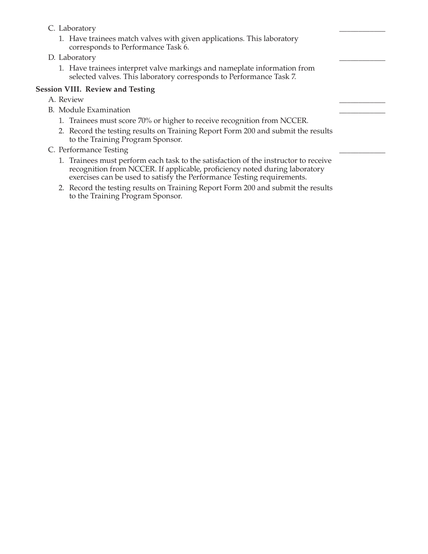C. Laboratory 1. Have trainees match valves with given applications. This laboratory corresponds to Performance Task 6. D. Laboratory 1. Have trainees interpret valve markings and nameplate information from selected valves. This laboratory corresponds to Performance Task 7. **Session VIII. Review and Testing** A. Review \_\_\_\_\_\_\_\_\_\_\_\_ B. Module Examination 1. Trainees must score 70% or higher to receive recognition from NCCER. 2. Record the testing results on Training Report Form 200 and submit the results to the Training Program Sponsor. C. Performance Testing 1. Trainees must perform each task to the satisfaction of the instructor to receive recognition from NCCER. If applicable, proficiency noted during laboratory exercises can be used to satisfy the Performance Testing requirements. 2. Record the testing results on Training Report Form 200 and submit the results to the Training Program Sponsor.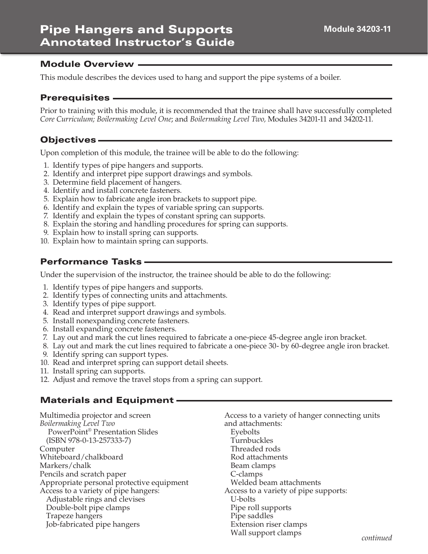# Pipe Hangers and Supports Annotated Instructor's Guide

#### Module Overview

This module describes the devices used to hang and support the pipe systems of a boiler.

#### **Prerequisites -**

Prior to training with this module, it is recommended that the trainee shall have successfully completed *Core Curriculum; Boilermaking Level One*; and *Boilermaking Level Two,* Modules 34201-11 and 34202-11.

## Objectives

Upon completion of this module, the trainee will be able to do the following:

- 1. Identify types of pipe hangers and supports.
- 2. Identify and interpret pipe support drawings and symbols.
- 3. Determine field placement of hangers.
- 4. Identify and install concrete fasteners.
- 5. Explain how to fabricate angle iron brackets to support pipe.
- 6. Identify and explain the types of variable spring can supports.
- 7. Identify and explain the types of constant spring can supports.
- 8. Explain the storing and handling procedures for spring can supports.
- 9. Explain how to install spring can supports.
- 10. Explain how to maintain spring can supports.

## Performance Tasks

Under the supervision of the instructor, the trainee should be able to do the following:

- 1. Identify types of pipe hangers and supports.
- 2. Identify types of connecting units and attachments.
- 3. Identify types of pipe support.
- 4. Read and interpret support drawings and symbols.
- 5. Install nonexpanding concrete fasteners.
- 6. Install expanding concrete fasteners.
- 7. Lay out and mark the cut lines required to fabricate a one-piece 45-degree angle iron bracket.
- 8. Lay out and mark the cut lines required to fabricate a one-piece 30- by 60-degree angle iron bracket.
- 9. Identify spring can support types.
- 10. Read and interpret spring can support detail sheets.
- 11. Install spring can supports.
- 12. Adjust and remove the travel stops from a spring can support.

#### Materials and Equipment

| Multimedia projector and screen           | Access to a variety of hanger connecting units |  |
|-------------------------------------------|------------------------------------------------|--|
| Boilermaking Level Two                    | and attachments:                               |  |
| PowerPoint® Presentation Slides           | Eyebolts                                       |  |
| $(ISBN 978-0-13-257333-7)$                | Turnbuckles                                    |  |
| Computer                                  | Threaded rods                                  |  |
| Whiteboard/chalkboard                     | Rod attachments                                |  |
| Markers/chalk                             | Beam clamps                                    |  |
| Pencils and scratch paper                 | C-clamps                                       |  |
| Appropriate personal protective equipment | Welded beam attachments                        |  |
| Access to a variety of pipe hangers:      | Access to a variety of pipe supports:          |  |
| Adjustable rings and clevises             | U-bolts                                        |  |
| Double-bolt pipe clamps                   | Pipe roll supports                             |  |
| Trapeze hangers                           | Pipe saddles                                   |  |
| Job-fabricated pipe hangers               | Extension riser clamps                         |  |
|                                           | Wall support clamps                            |  |
|                                           | continued                                      |  |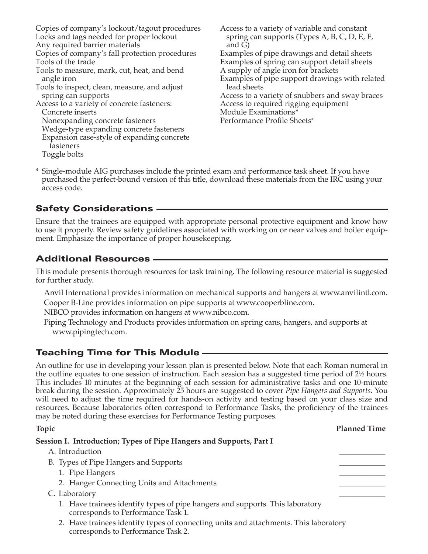- Copies of company's lockout/tagout procedures Locks and tags needed for proper lockout Any required barrier materials Copies of company's fall protection procedures Tools of the trade Tools to measure, mark, cut, heat, and bend angle iron Tools to inspect, clean, measure, and adjust spring can supports Access to a variety of concrete fasteners: Concrete inserts Nonexpanding concrete fasteners Wedge-type expanding concrete fasteners Expansion case-style of expanding concrete fasteners Toggle bolts
- Access to a variety of variable and constant spring can supports (Types A, B, C, D, E, F, and G) Examples of pipe drawings and detail sheets Examples of spring can support detail sheets A supply of angle iron for brackets Examples of pipe support drawings with related lead sheets Access to a variety of snubbers and sway braces Access to required rigging equipment Module Examinations\* Performance Profile Sheets\*
- \* Single-module AIG purchases include the printed exam and performance task sheet. If you have purchased the perfect-bound version of this title, download these materials from the IRC using your access code.

## Safety Considerations

Ensure that the trainees are equipped with appropriate personal protective equipment and know how to use it properly. Review safety guidelines associated with working on or near valves and boiler equipment. Emphasize the importance of proper housekeeping.

## Additional Resources

This module presents thorough resources for task training. The following resource material is suggested for further study.

Anvil International provides information on mechanical supports and hangers at www.anvilintl.com. Cooper B-Line provides information on pipe supports at www.cooperbline.com.

NIBCO provides information on hangers at www.nibco.com.

Piping Technology and Products provides information on spring cans, hangers, and supports at www.pipingtech.com.

#### Teaching Time for This Module

An outline for use in developing your lesson plan is presented below. Note that each Roman numeral in the outline equates to one session of instruction. Each session has a suggested time period of 2½ hours. This includes 10 minutes at the beginning of each session for administrative tasks and one 10-minute break during the session. Approximately 25 hours are suggested to cover *Pipe Hangers and Supports.* You will need to adjust the time required for hands-on activity and testing based on your class size and resources. Because laboratories often correspond to Performance Tasks, the proficiency of the trainees may be noted during these exercises for Performance Testing purposes.

| Topic                                                                                                               | <b>Planned Time</b> |
|---------------------------------------------------------------------------------------------------------------------|---------------------|
| Session I. Introduction; Types of Pipe Hangers and Supports, Part I                                                 |                     |
| A. Introduction                                                                                                     |                     |
| B. Types of Pipe Hangers and Supports                                                                               |                     |
| 1. Pipe Hangers                                                                                                     |                     |
| 2. Hanger Connecting Units and Attachments                                                                          |                     |
| C. Laboratory                                                                                                       |                     |
| 1. Have trainees identify types of pipe hangers and supports. This laboratory<br>corresponds to Performance Task 1. |                     |
| 0 - I I ann tuaireach i deutifer truces af commactive curits and attachments. This labourteur                       |                     |

 2. Have trainees identify types of connecting units and attachments. This laboratory corresponds to Performance Task 2.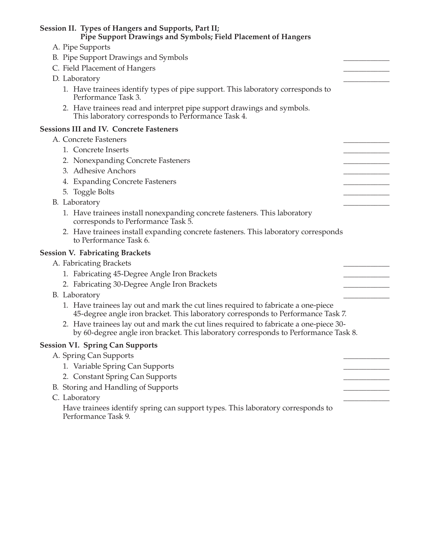| Session II. Types of Hangers and Supports, Part II;<br><b>Pipe Support Drawings and Symbols; Field Placement of Hangers</b>                                                  |  |
|------------------------------------------------------------------------------------------------------------------------------------------------------------------------------|--|
| A. Pipe Supports                                                                                                                                                             |  |
| B. Pipe Support Drawings and Symbols                                                                                                                                         |  |
| C. Field Placement of Hangers                                                                                                                                                |  |
| D. Laboratory                                                                                                                                                                |  |
| 1. Have trainees identify types of pipe support. This laboratory corresponds to<br>Performance Task 3.                                                                       |  |
| 2. Have trainees read and interpret pipe support drawings and symbols.<br>This laboratory corresponds to Performance Task 4.                                                 |  |
| <b>Sessions III and IV. Concrete Fasteners</b>                                                                                                                               |  |
| A. Concrete Fasteners                                                                                                                                                        |  |
| 1. Concrete Inserts                                                                                                                                                          |  |
| 2. Nonexpanding Concrete Fasteners                                                                                                                                           |  |
| 3. Adhesive Anchors                                                                                                                                                          |  |
| 4. Expanding Concrete Fasteners                                                                                                                                              |  |
| 5. Toggle Bolts                                                                                                                                                              |  |
| B. Laboratory                                                                                                                                                                |  |
| 1. Have trainees install nonexpanding concrete fasteners. This laboratory<br>corresponds to Performance Task 5.                                                              |  |
| 2. Have trainees install expanding concrete fasteners. This laboratory corresponds<br>to Performance Task 6.                                                                 |  |
| <b>Session V. Fabricating Brackets</b>                                                                                                                                       |  |
| A. Fabricating Brackets                                                                                                                                                      |  |
| 1. Fabricating 45-Degree Angle Iron Brackets                                                                                                                                 |  |
| 2. Fabricating 30-Degree Angle Iron Brackets                                                                                                                                 |  |
| B. Laboratory                                                                                                                                                                |  |
| 1. Have trainees lay out and mark the cut lines required to fabricate a one-piece<br>45-degree angle iron bracket. This laboratory corresponds to Performance Task 7.        |  |
| 2. Have trainees lay out and mark the cut lines required to fabricate a one-piece 30-<br>by 60-degree angle iron bracket. This laboratory corresponds to Performance Task 8. |  |
| <b>Session VI. Spring Can Supports</b>                                                                                                                                       |  |
| A. Spring Can Supports                                                                                                                                                       |  |
| 1. Variable Spring Can Supports                                                                                                                                              |  |
| 2. Constant Spring Can Supports                                                                                                                                              |  |
| B. Storing and Handling of Supports                                                                                                                                          |  |
| C. Laboratory                                                                                                                                                                |  |
| Have trainees identify spring can support types. This laboratory corresponds to<br>Performance Task 9.                                                                       |  |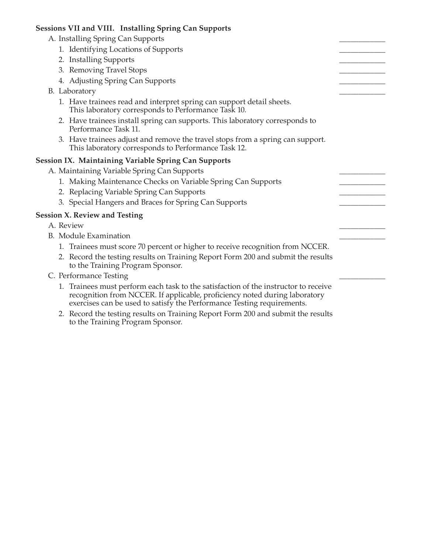#### **Sessions VII and VIII. Installing Spring Can Supports**

- A. Installing Spring Can Supports
	- 1. Identifying Locations of Supports
	- 2. Installing Supports
	- 3. Removing Travel Stops
	- 4. Adjusting Spring Can Supports
- B. Laboratory
	- 1. Have trainees read and interpret spring can support detail sheets. This laboratory corresponds to Performance Task 10.
	- 2. Have trainees install spring can supports. This laboratory corresponds to Performance Task 11.
	- 3. Have trainees adjust and remove the travel stops from a spring can support. This laboratory corresponds to Performance Task 12.

#### **Session IX. Maintaining Variable Spring Can Supports**

- A. Maintaining Variable Spring Can Supports
	- 1. Making Maintenance Checks on Variable Spring Can Supports
	- 2. Replacing Variable Spring Can Supports
	- 3. Special Hangers and Braces for Spring Can Supports

#### **Session X. Review and Testing**

- A. Review \_\_\_\_\_\_\_\_\_\_\_\_
- B. Module Examination
	- 1. Trainees must score 70 percent or higher to receive recognition from NCCER.
	- 2. Record the testing results on Training Report Form 200 and submit the results to the Training Program Sponsor.
- C. Performance Testing
	- 1. Trainees must perform each task to the satisfaction of the instructor to receive recognition from NCCER. If applicable, proficiency noted during laboratory exercises can be used to satisfy the Performance Testing requirements.
	- 2. Record the testing results on Training Report Form 200 and submit the results to the Training Program Sponsor.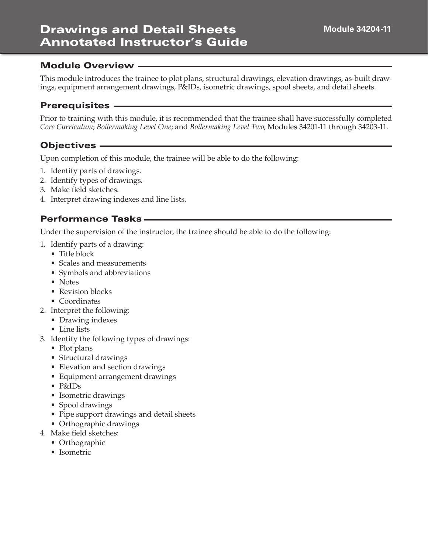# Drawings and Detail Sheets Annotated Instructor's Guide

#### Module Overview

This module introduces the trainee to plot plans, structural drawings, elevation drawings, as-built drawings, equipment arrangement drawings, P&IDs, isometric drawings, spool sheets, and detail sheets.

#### **Prerequisites**

Prior to training with this module, it is recommended that the trainee shall have successfully completed *Core Curriculum*; *Boilermaking Level One*; and *Boilermaking Level Two*, Modules 34201-11 through 34203-11.

## Objectives

Upon completion of this module, the trainee will be able to do the following:

- 1. Identify parts of drawings.
- 2. Identify types of drawings.
- 3. Make field sketches.
- 4. Interpret drawing indexes and line lists.

## Performance Tasks

Under the supervision of the instructor, the trainee should be able to do the following:

- 1. Identify parts of a drawing:
	- Title block
	- Scales and measurements
	- Symbols and abbreviations
	- Notes
	- Revision blocks
	- Coordinates
- 2. Interpret the following:
	- Drawing indexes
	- Line lists
- 3. Identify the following types of drawings:
	- Plot plans
	- Structural drawings
	- Elevation and section drawings
	- Equipment arrangement drawings
	- P&IDs
	- Isometric drawings
	- Spool drawings
	- Pipe support drawings and detail sheets
	- Orthographic drawings
- 4. Make field sketches:
	- Orthographic
	- Isometric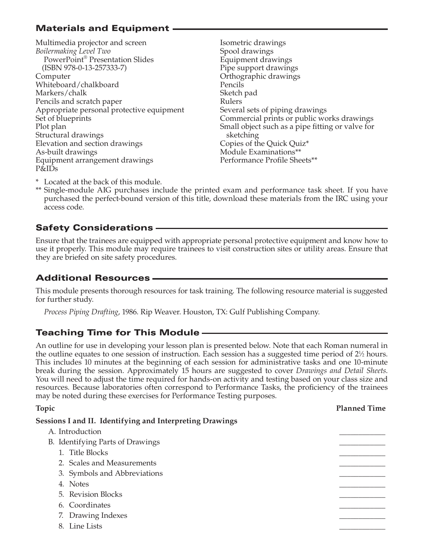# Materials and Equipment

Multimedia projector and screen *Boilermaking Level Two* PowerPoint® Presentation Slides (ISBN 978-0-13-257333-7) Computer Whiteboard/chalkboard Markers/chalk Pencils and scratch paper Appropriate personal protective equipment Set of blueprints Plot plan Structural drawings Elevation and section drawings As-built drawings Equipment arrangement drawings P&IDs

Isometric drawings Spool drawings Equipment drawings Pipe support drawings Orthographic drawings Pencils Sketch pad Rulers Several sets of piping drawings Commercial prints or public works drawings Small object such as a pipe fitting or valve for sketching Copies of the Quick Quiz\* Module Examinations\*\* Performance Profile Sheets\*\*

\* Located at the back of this module.

\*\* Single-module AIG purchases include the printed exam and performance task sheet. If you have purchased the perfect-bound version of this title, download these materials from the IRC using your access code.

## Safety Considerations

Ensure that the trainees are equipped with appropriate personal protective equipment and know how to use it properly. This module may require trainees to visit construction sites or utility areas. Ensure that they are briefed on site safety procedures.

#### Additional Resources

This module presents thorough resources for task training. The following resource material is suggested for further study.

*Process Piping Drafting*, 1986. Rip Weaver. Houston, TX: Gulf Publishing Company.

# Teaching Time for This Module

An outline for use in developing your lesson plan is presented below. Note that each Roman numeral in the outline equates to one session of instruction. Each session has a suggested time period of 2<sup>1</sup>/<sub>2</sub> hours. This includes 10 minutes at the beginning of each session for administrative tasks and one 10-minute break during the session. Approximately 15 hours are suggested to cover *Drawings and Detail Sheets*. You will need to adjust the time required for hands-on activity and testing based on your class size and resources. Because laboratories often correspond to Performance Tasks, the proficiency of the trainees may be noted during these exercises for Performance Testing purposes.

**Topic Planned Time** 

| Sessions I and II. Identifying and Interpreting Drawings |  |
|----------------------------------------------------------|--|
| A. Introduction                                          |  |
| B. Identifying Parts of Drawings                         |  |
| 1. Title Blocks                                          |  |
| 2. Scales and Measurements                               |  |
| 3. Symbols and Abbreviations                             |  |
| 4. Notes                                                 |  |
| 5. Revision Blocks                                       |  |
| 6. Coordinates                                           |  |
| 7. Drawing Indexes                                       |  |
| 8. Line Lists                                            |  |
|                                                          |  |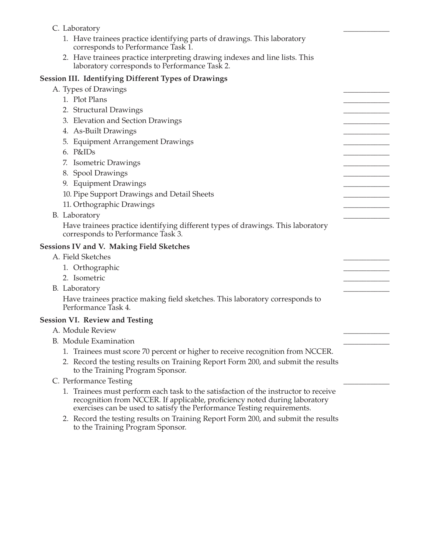| C. Laboratory                                                                                                                                                                                                                               |  |
|---------------------------------------------------------------------------------------------------------------------------------------------------------------------------------------------------------------------------------------------|--|
| 1. Have trainees practice identifying parts of drawings. This laboratory<br>corresponds to Performance Task 1.                                                                                                                              |  |
| 2. Have trainees practice interpreting drawing indexes and line lists. This<br>laboratory corresponds to Performance Task 2.                                                                                                                |  |
| <b>Session III. Identifying Different Types of Drawings</b>                                                                                                                                                                                 |  |
| A. Types of Drawings                                                                                                                                                                                                                        |  |
| 1. Plot Plans                                                                                                                                                                                                                               |  |
| 2. Structural Drawings                                                                                                                                                                                                                      |  |
| 3. Elevation and Section Drawings                                                                                                                                                                                                           |  |
| 4. As-Built Drawings                                                                                                                                                                                                                        |  |
| 5. Equipment Arrangement Drawings                                                                                                                                                                                                           |  |
| 6. P&IDs                                                                                                                                                                                                                                    |  |
| 7. Isometric Drawings                                                                                                                                                                                                                       |  |
| 8. Spool Drawings                                                                                                                                                                                                                           |  |
| 9. Equipment Drawings                                                                                                                                                                                                                       |  |
| 10. Pipe Support Drawings and Detail Sheets                                                                                                                                                                                                 |  |
| 11. Orthographic Drawings                                                                                                                                                                                                                   |  |
| B. Laboratory                                                                                                                                                                                                                               |  |
| Have trainees practice identifying different types of drawings. This laboratory<br>corresponds to Performance Task 3.                                                                                                                       |  |
| <b>Sessions IV and V. Making Field Sketches</b>                                                                                                                                                                                             |  |
| A. Field Sketches                                                                                                                                                                                                                           |  |
| 1. Orthographic                                                                                                                                                                                                                             |  |
| 2. Isometric                                                                                                                                                                                                                                |  |
| B. Laboratory                                                                                                                                                                                                                               |  |
| Have trainees practice making field sketches. This laboratory corresponds to<br>Performance Task 4.                                                                                                                                         |  |
| <b>Session VI. Review and Testing</b>                                                                                                                                                                                                       |  |
| A. Module Review                                                                                                                                                                                                                            |  |
| <b>B.</b> Module Examination                                                                                                                                                                                                                |  |
| 1. Trainees must score 70 percent or higher to receive recognition from NCCER.                                                                                                                                                              |  |
| 2. Record the testing results on Training Report Form 200, and submit the results<br>to the Training Program Sponsor.                                                                                                                       |  |
| C. Performance Testing                                                                                                                                                                                                                      |  |
| 1. Trainees must perform each task to the satisfaction of the instructor to receive<br>recognition from NCCER. If applicable, proficiency noted during laboratory<br>exercises can be used to satisfy the Performance Testing requirements. |  |

 2. Record the testing results on Training Report Form 200, and submit the results to the Training Program Sponsor.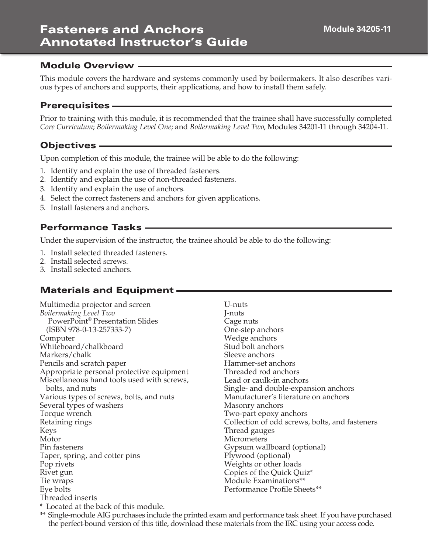#### Module Overview

This module covers the hardware and systems commonly used by boilermakers. It also describes various types of anchors and supports, their applications, and how to install them safely.

#### Prerequisites

Prior to training with this module, it is recommended that the trainee shall have successfully completed *Core Curriculum*; *Boilermaking Level One*; and *Boilermaking Level Two*, Modules 34201-11 through 34204-11.

#### Objectives

Upon completion of this module, the trainee will be able to do the following:

- 1. Identify and explain the use of threaded fasteners.
- 2. Identify and explain the use of non-threaded fasteners.
- 3. Identify and explain the use of anchors.
- 4. Select the correct fasteners and anchors for given applications.
- 5. Install fasteners and anchors.

#### Performance Tasks

Under the supervision of the instructor, the trainee should be able to do the following:

- 1. Install selected threaded fasteners.
- 2. Install selected screws.
- 3. Install selected anchors.

#### Materials and Equipment

Multimedia projector and screen *Boilermaking Level Two* PowerPoint® Presentation Slides (ISBN 978-0-13-257333-7) Computer Whiteboard/chalkboard Markers/chalk Pencils and scratch paper Appropriate personal protective equipment Miscellaneous hand tools used with screws, bolts, and nuts Various types of screws, bolts, and nuts Several types of washers Torque wrench Retaining rings Keys Motor Pin fasteners Taper, spring, and cotter pins Pop rivets Rivet gun Tie wraps Eye bolts Threaded inserts

U-nuts J-nuts Cage nuts One-step anchors Wedge anchors Stud bolt anchors Sleeve anchors Hammer-set anchors Threaded rod anchors Lead or caulk-in anchors Single- and double-expansion anchors Manufacturer's literature on anchors Masonry anchors Two-part epoxy anchors Collection of odd screws, bolts, and fasteners Thread gauges Micrometers Gypsum wallboard (optional) Plywood (optional) Weights or other loads Copies of the Quick Quiz\* Module Examinations\*\* Performance Profile Sheets\*\*

\* Located at the back of this module.

\*\* Single-module AIG purchases include the printed exam and performance task sheet. If you have purchased the perfect-bound version of this title, download these materials from the IRC using your access code.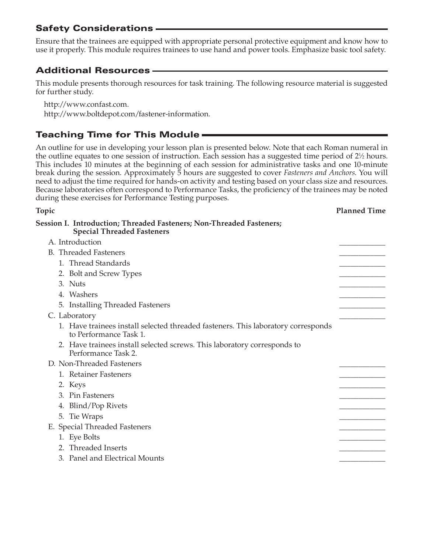# **Safety Considerations**

Ensure that the trainees are equipped with appropriate personal protective equipment and know how to use it properly. This module requires trainees to use hand and power tools. Emphasize basic tool safety.

# Additional Resources

This module presents thorough resources for task training. The following resource material is suggested for further study.

http://www.confast.com. http://www.boltdepot.com/fastener-information.

# Teaching Time for This Module

An outline for use in developing your lesson plan is presented below. Note that each Roman numeral in the outline equates to one session of instruction. Each session has a suggested time period of 2<sup>1</sup>/<sub>2</sub> hours. This includes 10 minutes at the beginning of each session for administrative tasks and one 10-minute break during the session. Approximately 5 hours are suggested to cover *Fasteners and Anchors*. You will need to adjust the time required for hands-on activity and testing based on your class size and resources. Because laboratories often correspond to Performance Tasks, the proficiency of the trainees may be noted during these exercises for Performance Testing purposes.

| Topic                                                                                                       | <b>Planned Time</b> |
|-------------------------------------------------------------------------------------------------------------|---------------------|
| Session I. Introduction; Threaded Fasteners; Non-Threaded Fasteners;<br><b>Special Threaded Fasteners</b>   |                     |
| A. Introduction                                                                                             |                     |
| <b>B.</b> Threaded Fasteners                                                                                |                     |
| 1. Thread Standards                                                                                         |                     |
| 2. Bolt and Screw Types                                                                                     |                     |
| 3. Nuts                                                                                                     |                     |
| 4. Washers                                                                                                  |                     |
| 5. Installing Threaded Fasteners                                                                            |                     |
| C. Laboratory                                                                                               |                     |
| 1. Have trainees install selected threaded fasteners. This laboratory corresponds<br>to Performance Task 1. |                     |
| 2. Have trainees install selected screws. This laboratory corresponds to<br>Performance Task 2.             |                     |
| D. Non-Threaded Fasteners                                                                                   |                     |
| 1. Retainer Fasteners                                                                                       |                     |
| 2. Keys                                                                                                     |                     |
| 3. Pin Fasteners                                                                                            |                     |
| 4. Blind/Pop Rivets                                                                                         |                     |
| 5. Tie Wraps                                                                                                |                     |
| E. Special Threaded Fasteners                                                                               |                     |
| 1. Eye Bolts                                                                                                |                     |
| 2. Threaded Inserts                                                                                         |                     |
| 3. Panel and Electrical Mounts                                                                              |                     |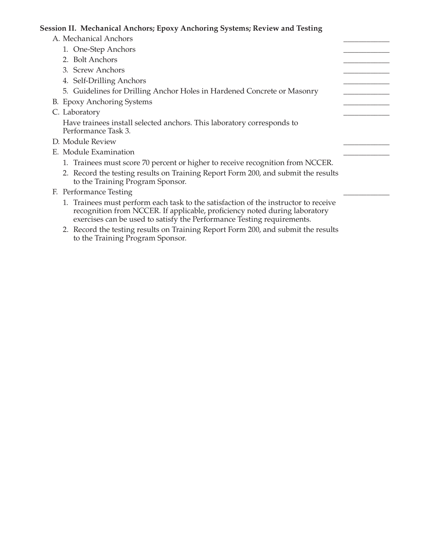#### **Session II. Mechanical Anchors; Epoxy Anchoring Systems; Review and Testing**

- A. Mechanical Anchors
	- 1. One-Step Anchors
	- 2. Bolt Anchors
	- 3. Screw Anchors
	- 4. Self-Drilling Anchors
	- 5. Guidelines for Drilling Anchor Holes in Hardened Concrete or Masonry
	- B. Epoxy Anchoring Systems
	- C. Laboratory

 Have trainees install selected anchors. This laboratory corresponds to Performance Task 3.

- D. Module Review
- E. Module Examination
	- 1. Trainees must score 70 percent or higher to receive recognition from NCCER.
	- 2. Record the testing results on Training Report Form 200, and submit the results to the Training Program Sponsor.
- F. Performance Testing
	- 1. Trainees must perform each task to the satisfaction of the instructor to receive recognition from NCCER. If applicable, proficiency noted during laboratory exercises can be used to satisfy the Performance Testing requirements.
	- 2. Record the testing results on Training Report Form 200, and submit the results to the Training Program Sponsor.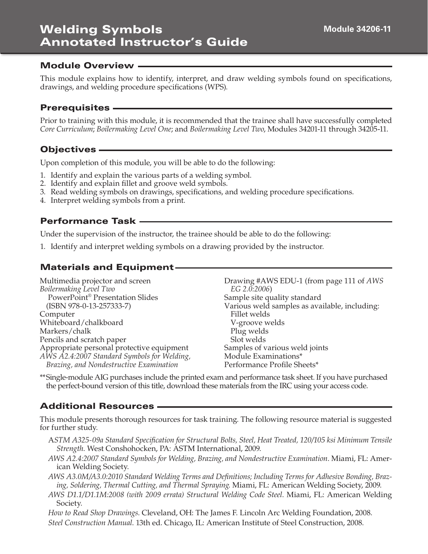# Welding Symbols Annotated Instructor's Guide

#### Module Overview

This module explains how to identify, interpret, and draw welding symbols found on specifications, drawings, and welding procedure specifications (WPS).

#### Prerequisites

Prior to training with this module, it is recommended that the trainee shall have successfully completed *Core Curriculum*; *Boilermaking Level One*; and *Boilermaking Level Two*, Modules 34201-11 through 34205-11.

#### Objectives

Upon completion of this module, you will be able to do the following:

- 1. Identify and explain the various parts of a welding symbol.
- 2. Identify and explain fillet and groove weld symbols.
- 3. Read welding symbols on drawings, specifications, and welding procedure specifications.
- 4. Interpret welding symbols from a print.

#### Performance Task

Under the supervision of the instructor, the trainee should be able to do the following:

1. Identify and interpret welding symbols on a drawing provided by the instructor.

# Materials and Equipment

Multimedia projector and screen *Boilermaking Level Two*  PowerPoint® Presentation Slides (ISBN 978-0-13-257333-7) Computer Whiteboard/chalkboard Markers/chalk Pencils and scratch paper Appropriate personal protective equipment *AWS A2.4:2007 Standard Symbols for Welding, Brazing, and Nondestructive Examination*

Drawing #AWS EDU-1 (from page 111 of *AWS EG 2.0:2006*) Sample site quality standard Various weld samples as available, including: Fillet welds V-groove welds Plug welds Slot welds Samples of various weld joints Module Examinations\* Performance Profile Sheets\*

\*\*Single-module AIG purchases include the printed exam and performance task sheet. If you have purchased the perfect-bound version of this title, download these materials from the IRC using your access code.

#### Additional Resources

This module presents thorough resources for task training. The following resource material is suggested for further study.

- A*STM A325-09a Standard Specification for Structural Bolts, Steel, Heat Treated, 120/105 ksi Minimum Tensile Strength*. West Conshohocken, PA: ASTM International, 2009.
- *AWS A2.4:2007 Standard Symbols for Welding, Brazing, and Nondestructive Examination*. Miami, FL: American Welding Society.
- *AWS A3.0M/A3.0:2010 Standard Welding Terms and Definitions; Including Terms for Adhesive Bonding, Brazing, Soldering, Thermal Cutting, and Thermal Spraying*. Miami, FL: American Welding Society, 2009.
- *AWS D1.1/D1.1M:2008 (with 2009 errata) Structural Welding Code Steel*. Miami, FL: American Welding Society.

*How to Read Shop Drawings*. Cleveland, OH: The James F. Lincoln Arc Welding Foundation, 2008. *Steel Construction Manual*. 13th ed. Chicago, IL: American Institute of Steel Construction, 2008.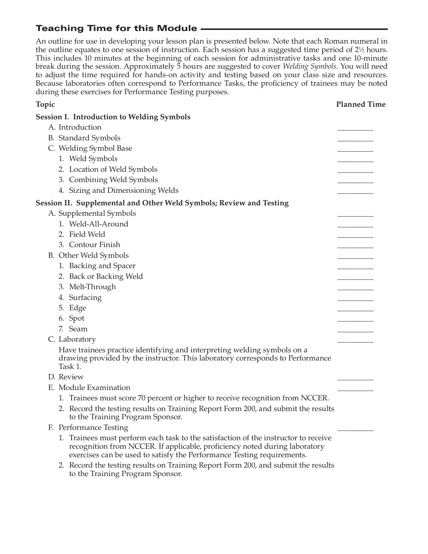# Teaching Time for this Module

An outline for use in developing your lesson plan is presented below. Note that each Roman numeral in the outline equates to one session of instruction. Each session has a suggested time period of 2½ hours. This includes 10 minutes at the beginning of each session for administrative tasks and one 10-minute break during the session. Approximately 5 hours are suggested to cover *Welding Symbols*. You will need to adjust the time required for hands-on activity and testing based on your class size and resources. Because laboratories often correspond to Performance Tasks, the proficiency of trainees may be noted during these exercises for Performance Testing purposes.

| <b>Topic</b> |                                                                                                                                                                                                                                             | <b>Planned Time</b> |
|--------------|---------------------------------------------------------------------------------------------------------------------------------------------------------------------------------------------------------------------------------------------|---------------------|
|              | <b>Session I. Introduction to Welding Symbols</b>                                                                                                                                                                                           |                     |
|              | A. Introduction                                                                                                                                                                                                                             |                     |
|              | <b>B.</b> Standard Symbols                                                                                                                                                                                                                  |                     |
|              | C. Welding Symbol Base                                                                                                                                                                                                                      |                     |
|              | 1. Weld Symbols                                                                                                                                                                                                                             |                     |
|              | 2. Location of Weld Symbols                                                                                                                                                                                                                 |                     |
|              | 3. Combining Weld Symbols                                                                                                                                                                                                                   |                     |
|              | 4. Sizing and Dimensioning Welds                                                                                                                                                                                                            |                     |
|              | Session II. Supplemental and Other Weld Symbols; Review and Testing                                                                                                                                                                         |                     |
|              | A. Supplemental Symbols                                                                                                                                                                                                                     |                     |
|              | 1. Weld-All-Around                                                                                                                                                                                                                          |                     |
|              | 2. Field Weld                                                                                                                                                                                                                               |                     |
|              | 3. Contour Finish                                                                                                                                                                                                                           |                     |
|              | B. Other Weld Symbols                                                                                                                                                                                                                       |                     |
|              | 1. Backing and Spacer                                                                                                                                                                                                                       |                     |
|              | 2. Back or Backing Weld                                                                                                                                                                                                                     |                     |
|              | 3. Melt-Through                                                                                                                                                                                                                             |                     |
|              | 4. Surfacing                                                                                                                                                                                                                                |                     |
|              | 5. Edge                                                                                                                                                                                                                                     |                     |
|              | 6. Spot                                                                                                                                                                                                                                     |                     |
|              | 7. Seam                                                                                                                                                                                                                                     |                     |
|              | C. Laboratory                                                                                                                                                                                                                               |                     |
|              | Have trainees practice identifying and interpreting welding symbols on a<br>drawing provided by the instructor. This laboratory corresponds to Performance<br>Task 1.                                                                       |                     |
|              | D. Review                                                                                                                                                                                                                                   |                     |
|              | E. Module Examination                                                                                                                                                                                                                       |                     |
|              | 1. Trainees must score 70 percent or higher to receive recognition from NCCER.                                                                                                                                                              |                     |
|              | 2. Record the testing results on Training Report Form 200, and submit the results<br>to the Training Program Sponsor.                                                                                                                       |                     |
|              | F. Performance Testing                                                                                                                                                                                                                      |                     |
|              | 1. Trainees must perform each task to the satisfaction of the instructor to receive<br>recognition from NCCER. If applicable, proficiency noted during laboratory<br>exercises can be used to satisfy the Performance Testing requirements. |                     |
|              | 2. Record the testing results on Training Report Form 200, and submit the results<br>to the Training Program Sponsor.                                                                                                                       |                     |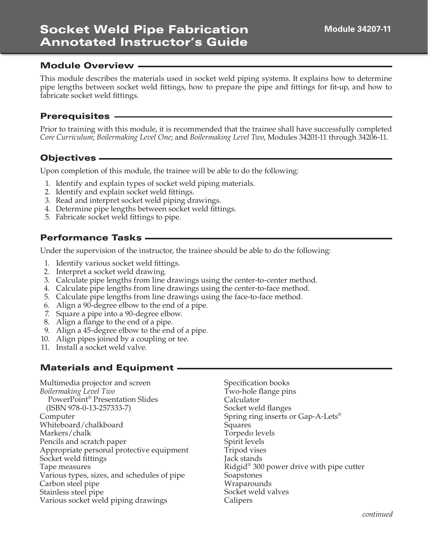#### Module Overview

This module describes the materials used in socket weld piping systems. It explains how to determine pipe lengths between socket weld fittings, how to prepare the pipe and fittings for fit-up, and how to fabricate socket weld fittings.

#### Prerequisites

Prior to training with this module, it is recommended that the trainee shall have successfully completed *Core Curriculum*; *Boilermaking Level One*; and *Boilermaking Level Two*, Modules 34201-11 through 34206-11.

#### Objectives

Upon completion of this module, the trainee will be able to do the following:

- 1. Identify and explain types of socket weld piping materials.
- 2. Identify and explain socket weld fittings.
- 3. Read and interpret socket weld piping drawings.
- 4. Determine pipe lengths between socket weld fittings.
- 5. Fabricate socket weld fittings to pipe.

#### Performance Tasks

Under the supervision of the instructor, the trainee should be able to do the following:

- 1. Identify various socket weld fittings.
- 2. Interpret a socket weld drawing.
- 3. Calculate pipe lengths from line drawings using the center-to-center method.
- 4. Calculate pipe lengths from line drawings using the center-to-face method.
- 5. Calculate pipe lengths from line drawings using the face-to-face method.
- 6. Align a 90-degree elbow to the end of a pipe.
- 7. Square a pipe into a 90-degree elbow.
- 8. Align a flange to the end of a pipe.
- 9. Align a 45-degree elbow to the end of a pipe.
- 10. Align pipes joined by a coupling or tee.
- 11. Install a socket weld valve.

#### Materials and Equipment

Multimedia projector and screen *Boilermaking Level Two* PowerPoint® Presentation Slides (ISBN 978-0-13-257333-7) Computer Whiteboard/chalkboard Markers/chalk Pencils and scratch paper Appropriate personal protective equipment Socket weld fittings Tape measures Various types, sizes, and schedules of pipe Carbon steel pipe Stainless steel pipe Various socket weld piping drawings

Specification books Two-hole flange pins Calculator Socket weld flanges Spring ring inserts or Gap-A-Lets® Squares Torpedo levels Spirit levels Tripod vises Jack stands Ridgid<sup>®</sup> 300 power drive with pipe cutter Soapstones Wraparounds Socket weld valves Calipers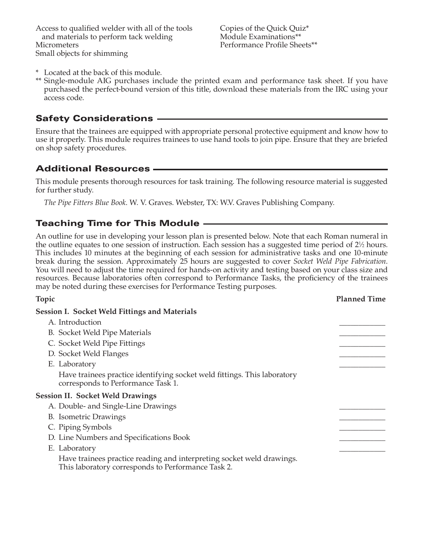Access to qualified welder with all of the tools and materials to perform tack welding **Micrometers** Small objects for shimming

Copies of the Quick Quiz\* Module Examinations\*\* Performance Profile Sheets\*\*

- \* Located at the back of this module.
- \*\* Single-module AIG purchases include the printed exam and performance task sheet. If you have purchased the perfect-bound version of this title, download these materials from the IRC using your access code.

#### Safety Considerations

Ensure that the trainees are equipped with appropriate personal protective equipment and know how to use it properly. This module requires trainees to use hand tools to join pipe. Ensure that they are briefed on shop safety procedures.

# Additional Resources

This module presents thorough resources for task training. The following resource material is suggested for further study.

*The Pipe Fitters Blue Book*. W. V. Graves. Webster, TX: W.V. Graves Publishing Company.

## Teaching Time for This Module

An outline for use in developing your lesson plan is presented below. Note that each Roman numeral in the outline equates to one session of instruction. Each session has a suggested time period of 2½ hours. This includes 10 minutes at the beginning of each session for administrative tasks and one 10-minute break during the session. Approximately 25 hours are suggested to cover *Socket Weld Pipe Fabrication*. You will need to adjust the time required for hands-on activity and testing based on your class size and resources. Because laboratories often correspond to Performance Tasks, the proficiency of the trainees may be noted during these exercises for Performance Testing purposes.

| Topic                                                                                                                       | <b>Planned Time</b> |
|-----------------------------------------------------------------------------------------------------------------------------|---------------------|
| <b>Session I. Socket Weld Fittings and Materials</b>                                                                        |                     |
| A. Introduction                                                                                                             |                     |
| B. Socket Weld Pipe Materials                                                                                               |                     |
| C. Socket Weld Pipe Fittings                                                                                                |                     |
| D. Socket Weld Flanges                                                                                                      |                     |
| E. Laboratory                                                                                                               |                     |
| Have trainees practice identifying socket weld fittings. This laboratory<br>corresponds to Performance Task 1.              |                     |
| <b>Session II. Socket Weld Drawings</b>                                                                                     |                     |
| A. Double- and Single-Line Drawings                                                                                         |                     |
| <b>B.</b> Isometric Drawings                                                                                                |                     |
| C. Piping Symbols                                                                                                           |                     |
| D. Line Numbers and Specifications Book                                                                                     |                     |
| E. Laboratory                                                                                                               |                     |
| Have trainees practice reading and interpreting socket weld drawings.<br>This laboratory corresponds to Performance Task 2. |                     |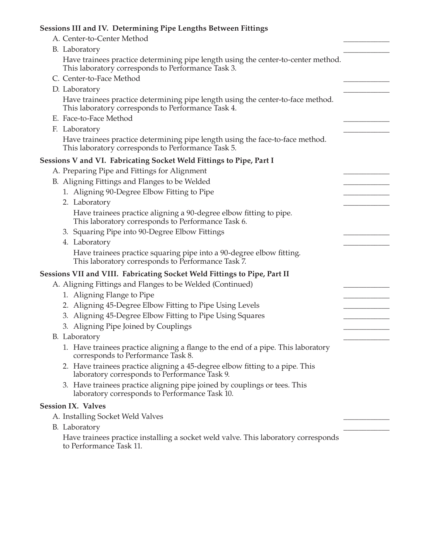| Sessions III and IV. Determining Pipe Lengths Between Fittings                                                                          |  |
|-----------------------------------------------------------------------------------------------------------------------------------------|--|
| A. Center-to-Center Method                                                                                                              |  |
| B. Laboratory                                                                                                                           |  |
| Have trainees practice determining pipe length using the center-to-center method.<br>This laboratory corresponds to Performance Task 3. |  |
| C. Center-to-Face Method                                                                                                                |  |
| D. Laboratory                                                                                                                           |  |
| Have trainees practice determining pipe length using the center-to-face method.<br>This laboratory corresponds to Performance Task 4.   |  |
| E. Face-to-Face Method                                                                                                                  |  |
| F. Laboratory                                                                                                                           |  |
| Have trainees practice determining pipe length using the face-to-face method.<br>This laboratory corresponds to Performance Task 5.     |  |
| Sessions V and VI. Fabricating Socket Weld Fittings to Pipe, Part I                                                                     |  |
| A. Preparing Pipe and Fittings for Alignment                                                                                            |  |
| B. Aligning Fittings and Flanges to be Welded                                                                                           |  |
| 1. Aligning 90-Degree Elbow Fitting to Pipe                                                                                             |  |
| 2. Laboratory                                                                                                                           |  |
| Have trainees practice aligning a 90-degree elbow fitting to pipe.<br>This laboratory corresponds to Performance Task 6.                |  |
| 3. Squaring Pipe into 90-Degree Elbow Fittings                                                                                          |  |
| 4. Laboratory                                                                                                                           |  |
| Have trainees practice squaring pipe into a 90-degree elbow fitting.<br>This laboratory corresponds to Performance Task 7.              |  |
| Sessions VII and VIII. Fabricating Socket Weld Fittings to Pipe, Part II                                                                |  |
| A. Aligning Fittings and Flanges to be Welded (Continued)                                                                               |  |
| 1. Aligning Flange to Pipe                                                                                                              |  |
| 2. Aligning 45-Degree Elbow Fitting to Pipe Using Levels                                                                                |  |
| 3. Aligning 45-Degree Elbow Fitting to Pipe Using Squares                                                                               |  |
| 3. Aligning Pipe Joined by Couplings                                                                                                    |  |
| B. Laboratory                                                                                                                           |  |
| 1. Have trainees practice aligning a flange to the end of a pipe. This laboratory<br>corresponds to Performance Task 8.                 |  |
| 2. Have trainees practice aligning a 45-degree elbow fitting to a pipe. This<br>laboratory corresponds to Performance Task 9.           |  |
| 3. Have trainees practice aligning pipe joined by couplings or tees. This<br>laboratory corresponds to Performance Task 10.             |  |
| <b>Session IX. Valves</b>                                                                                                               |  |
| A. Installing Socket Weld Valves                                                                                                        |  |
| B. Laboratory                                                                                                                           |  |
| Have trainees practice installing a socket weld valve. This laboratory corresponds<br>to Performance Task 11.                           |  |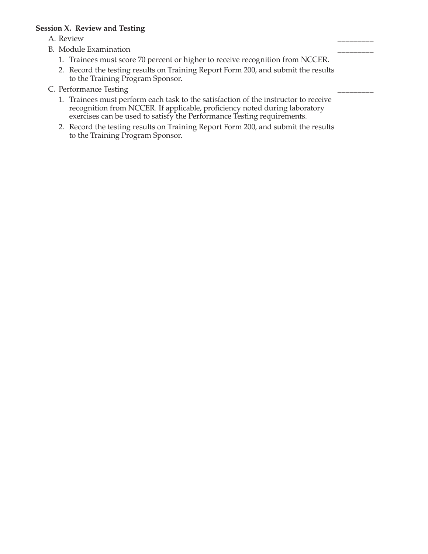#### **Session X. Review and Testing**

A. Review \_\_\_\_\_\_\_\_\_

- B. Module Examination
	- 1. Trainees must score 70 percent or higher to receive recognition from NCCER.
	- 2. Record the testing results on Training Report Form 200, and submit the results to the Training Program Sponsor.
- C. Performance Testing
	- 1. Trainees must perform each task to the satisfaction of the instructor to receive recognition from NCCER. If applicable, proficiency noted during laboratory exercises can be used to satisfy the Performance Testing requirements.
	- 2. Record the testing results on Training Report Form 200, and submit the results to the Training Program Sponsor.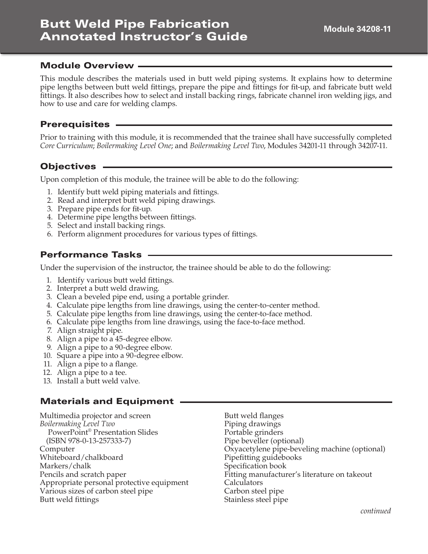# Butt Weld Pipe Fabrication Annotated Instructor's Guide

#### Module Overview

This module describes the materials used in butt weld piping systems. It explains how to determine pipe lengths between butt weld fittings, prepare the pipe and fittings for fit-up, and fabricate butt weld fittings. It also describes how to select and install backing rings, fabricate channel iron welding jigs, and how to use and care for welding clamps.

#### Prerequisites

Prior to training with this module, it is recommended that the trainee shall have successfully completed *Core Curriculum*; *Boilermaking Level One*; and *Boilermaking Level Two*, Modules 34201-11 through 34207-11.

#### **Objectives** .

Upon completion of this module, the trainee will be able to do the following:

- 1. Identify butt weld piping materials and fittings.
- 2. Read and interpret butt weld piping drawings.
- 3. Prepare pipe ends for fit-up.
- 4. Determine pipe lengths between fittings.
- 5. Select and install backing rings.
- 6. Perform alignment procedures for various types of fittings.

#### Performance Tasks

Under the supervision of the instructor, the trainee should be able to do the following:

- 1. Identify various butt weld fittings.
- 2. Interpret a butt weld drawing.
- 3. Clean a beveled pipe end, using a portable grinder.
- 4. Calculate pipe lengths from line drawings, using the center-to-center method.
- 5. Calculate pipe lengths from line drawings, using the center-to-face method.
- 6. Calculate pipe lengths from line drawings, using the face-to-face method.
- 7. Align straight pipe.
- 8. Align a pipe to a 45-degree elbow.
- 9. Align a pipe to a 90-degree elbow.
- 10. Square a pipe into a 90-degree elbow.
- 11. Align a pipe to a flange.
- 12. Align a pipe to a tee.
- 13. Install a butt weld valve.

#### Materials and Equipment

Multimedia projector and screen *Boilermaking Level Two* PowerPoint® Presentation Slides (ISBN 978-0-13-257333-7) Computer Whiteboard/chalkboard Markers/chalk Pencils and scratch paper Appropriate personal protective equipment Various sizes of carbon steel pipe Butt weld fittings

Butt weld flanges Piping drawings Portable grinders Pipe beveller (optional) Oxyacetylene pipe-beveling machine (optional) Pipefitting guidebooks Specification book Fitting manufacturer's literature on takeout **Calculators** Carbon steel pipe Stainless steel pipe

*continued*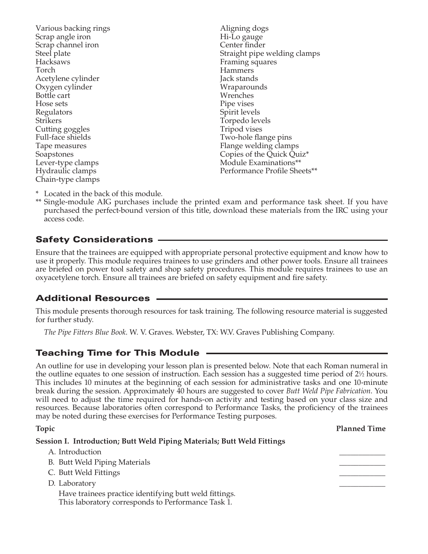Various backing rings Scrap angle iron Scrap channel iron Steel plate Hacksaws Torch Acetylene cylinder Oxygen cylinder Bottle cart Hose sets Regulators Strikers Cutting goggles Full-face shields Tape measures Soapstones Lever-type clamps Hydraulic clamps Chain-type clamps

Aligning dogs Hi-Lo gauge Center finder Straight pipe welding clamps Framing squares Hammers Jack stands Wraparounds Wrenches Pipe vises Spirit levels Torpedo levels Tripod vises Two-hole flange pins Flange welding clamps Copies of the Quick Quiz\* Module Examinations\*\* Performance Profile Sheets\*\*

\* Located in the back of this module.

\*\* Single-module AIG purchases include the printed exam and performance task sheet. If you have purchased the perfect-bound version of this title, download these materials from the IRC using your access code.

## Safety Considerations

Ensure that the trainees are equipped with appropriate personal protective equipment and know how to use it properly. This module requires trainees to use grinders and other power tools. Ensure all trainees are briefed on power tool safety and shop safety procedures. This module requires trainees to use an oxyacetylene torch. Ensure all trainees are briefed on safety equipment and fire safety.

#### Additional Resources

This module presents thorough resources for task training. The following resource material is suggested for further study.

*The Pipe Fitters Blue Book*. W. V. Graves. Webster, TX: W.V. Graves Publishing Company.

#### Teaching Time for This Module

An outline for use in developing your lesson plan is presented below. Note that each Roman numeral in the outline equates to one session of instruction. Each session has a suggested time period of 2½ hours. This includes 10 minutes at the beginning of each session for administrative tasks and one 10-minute break during the session. Approximately 40 hours are suggested to cover *Butt Weld Pipe Fabrication*. You will need to adjust the time required for hands-on activity and testing based on your class size and resources. Because laboratories often correspond to Performance Tasks, the proficiency of the trainees may be noted during these exercises for Performance Testing purposes.

#### **Topic Planned Time**

**Session I. Introduction; Butt Weld Piping Materials; Butt Weld Fittings** A. Introduction B. Butt Weld Piping Materials C. Butt Weld Fittings D. Laboratory Have trainees practice identifying butt weld fittings. This laboratory corresponds to Performance Task 1.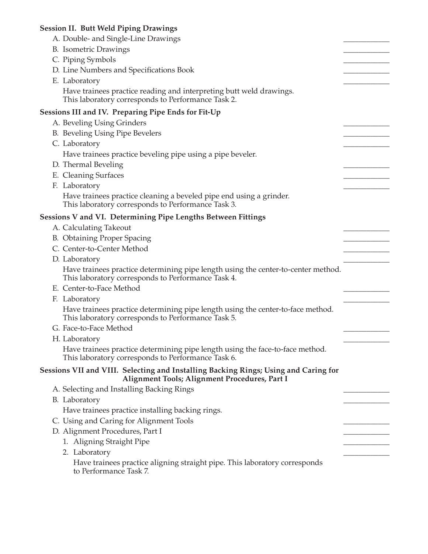| A. Double- and Single-Line Drawings                                                                                                     |  |
|-----------------------------------------------------------------------------------------------------------------------------------------|--|
| B. Isometric Drawings                                                                                                                   |  |
| C. Piping Symbols                                                                                                                       |  |
| D. Line Numbers and Specifications Book                                                                                                 |  |
| E. Laboratory                                                                                                                           |  |
| Have trainees practice reading and interpreting butt weld drawings.                                                                     |  |
| This laboratory corresponds to Performance Task 2.                                                                                      |  |
| Sessions III and IV. Preparing Pipe Ends for Fit-Up                                                                                     |  |
| A. Beveling Using Grinders                                                                                                              |  |
| B. Beveling Using Pipe Bevelers                                                                                                         |  |
| C. Laboratory                                                                                                                           |  |
| Have trainees practice beveling pipe using a pipe beveler.                                                                              |  |
| D. Thermal Beveling                                                                                                                     |  |
| E. Cleaning Surfaces                                                                                                                    |  |
| F. Laboratory                                                                                                                           |  |
| Have trainees practice cleaning a beveled pipe end using a grinder.                                                                     |  |
| This laboratory corresponds to Performance Task 3.                                                                                      |  |
| Sessions V and VI. Determining Pipe Lengths Between Fittings                                                                            |  |
| A. Calculating Takeout                                                                                                                  |  |
| B. Obtaining Proper Spacing                                                                                                             |  |
| C. Center-to-Center Method                                                                                                              |  |
| D. Laboratory                                                                                                                           |  |
| Have trainees practice determining pipe length using the center-to-center method.<br>This laboratory corresponds to Performance Task 4. |  |
| E. Center-to-Face Method                                                                                                                |  |
| F. Laboratory                                                                                                                           |  |
| Have trainees practice determining pipe length using the center-to-face method.<br>This laboratory corresponds to Performance Task 5.   |  |
| G. Face-to-Face Method                                                                                                                  |  |
| H. Laboratory                                                                                                                           |  |
| Have trainees practice determining pipe length using the face-to-face method.<br>This laboratory corresponds to Performance Task 6.     |  |
| Sessions VII and VIII. Selecting and Installing Backing Rings; Using and Caring for<br>Alignment Tools; Alignment Procedures, Part I    |  |
| A. Selecting and Installing Backing Rings                                                                                               |  |
| B. Laboratory                                                                                                                           |  |
| Have trainees practice installing backing rings.                                                                                        |  |
| C. Using and Caring for Alignment Tools                                                                                                 |  |
| D. Alignment Procedures, Part I                                                                                                         |  |
| 1. Aligning Straight Pipe                                                                                                               |  |
| 2. Laboratory                                                                                                                           |  |
| Have trainees practice aligning straight pipe. This laboratory corresponds<br>to Performance Task 7.                                    |  |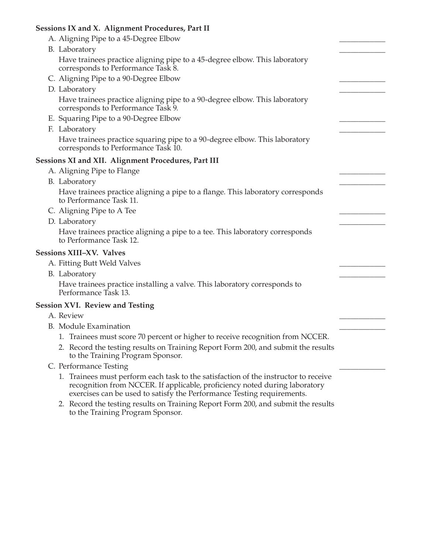## **Sessions IX and X. Alignment Procedures, Part II**

| $\alpha$                                                                                                                                                                                                                                    |  |
|---------------------------------------------------------------------------------------------------------------------------------------------------------------------------------------------------------------------------------------------|--|
| A. Aligning Pipe to a 45-Degree Elbow                                                                                                                                                                                                       |  |
| B. Laboratory                                                                                                                                                                                                                               |  |
| Have trainees practice aligning pipe to a 45-degree elbow. This laboratory<br>corresponds to Performance Task 8.                                                                                                                            |  |
| C. Aligning Pipe to a 90-Degree Elbow                                                                                                                                                                                                       |  |
| D. Laboratory                                                                                                                                                                                                                               |  |
| Have trainees practice aligning pipe to a 90-degree elbow. This laboratory<br>corresponds to Performance Task 9.                                                                                                                            |  |
| E. Squaring Pipe to a 90-Degree Elbow                                                                                                                                                                                                       |  |
| F. Laboratory                                                                                                                                                                                                                               |  |
| Have trainees practice squaring pipe to a 90-degree elbow. This laboratory<br>corresponds to Performance Task 10.                                                                                                                           |  |
| Sessions XI and XII. Alignment Procedures, Part III                                                                                                                                                                                         |  |
| A. Aligning Pipe to Flange                                                                                                                                                                                                                  |  |
| B. Laboratory                                                                                                                                                                                                                               |  |
| Have trainees practice aligning a pipe to a flange. This laboratory corresponds<br>to Performance Task 11.                                                                                                                                  |  |
| C. Aligning Pipe to A Tee                                                                                                                                                                                                                   |  |
| D. Laboratory                                                                                                                                                                                                                               |  |
| Have trainees practice aligning a pipe to a tee. This laboratory corresponds<br>to Performance Task 12.                                                                                                                                     |  |
| Sessions XIII-XV. Valves                                                                                                                                                                                                                    |  |
| A. Fitting Butt Weld Valves                                                                                                                                                                                                                 |  |
| B. Laboratory                                                                                                                                                                                                                               |  |
| Have trainees practice installing a valve. This laboratory corresponds to<br>Performance Task 13.                                                                                                                                           |  |
| <b>Session XVI. Review and Testing</b>                                                                                                                                                                                                      |  |
| A. Review                                                                                                                                                                                                                                   |  |
| <b>B.</b> Module Examination                                                                                                                                                                                                                |  |
| 1. Trainees must score 70 percent or higher to receive recognition from NCCER.                                                                                                                                                              |  |
| 2. Record the testing results on Training Report Form 200, and submit the results<br>to the Training Program Sponsor.                                                                                                                       |  |
| C. Performance Testing                                                                                                                                                                                                                      |  |
| 1. Trainees must perform each task to the satisfaction of the instructor to receive<br>recognition from NCCER. If applicable, proficiency noted during laboratory<br>exercises can be used to satisfy the Performance Testing requirements. |  |
| 2. Record the testing results on Training Report Form 200, and submit the results<br>to the Training Program Sponsor.                                                                                                                       |  |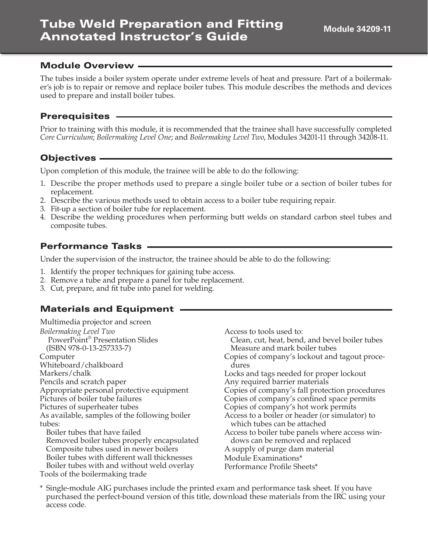# Tube Weld Preparation and Fitting Annotated Instructor's Guide

#### Module Overview

The tubes inside a boiler system operate under extreme levels of heat and pressure. Part of a boilermaker's job is to repair or remove and replace boiler tubes. This module describes the methods and devices used to prepare and install boiler tubes.

#### Prerequisites

Prior to training with this module, it is recommended that the trainee shall have successfully completed *Core Curriculum*; *Boilermaking Level One*; and *Boilermaking Level Two*, Modules 34201-11 through 34208-11.

#### Objectives

Upon completion of this module, the trainee will be able to do the following:

- 1. Describe the proper methods used to prepare a single boiler tube or a section of boiler tubes for replacement.
- 2. Describe the various methods used to obtain access to a boiler tube requiring repair.
- 3. Fit-up a section of boiler tube for replacement.
- 4. Describe the welding procedures when performing butt welds on standard carbon steel tubes and composite tubes.

#### Performance Tasks

Under the supervision of the instructor, the trainee should be able to do the following:

- 1. Identify the proper techniques for gaining tube access.
- 2. Remove a tube and prepare a panel for tube replacement.
- 3. Cut, prepare, and fit tube into panel for welding.

#### Materials and Equipment

Multimedia projector and screen *Boilermaking Level Two*  PowerPoint® Presentation Slides (ISBN 978-0-13-257333-7) Computer Whiteboard/chalkboard Markers/chalk Pencils and scratch paper Appropriate personal protective equipment Pictures of boiler tube failures Pictures of superheater tubes As available, samples of the following boiler tubes: Boiler tubes that have failed Removed boiler tubes properly encapsulated Composite tubes used in newer boilers Boiler tubes with different wall thicknesses Boiler tubes with and without weld overlay Tools of the boilermaking trade Access to tools used to: Clean, cut, heat, bend, and bevel boiler tubes Measure and mark boiler tubes Copies of company's lockout and tagout procedures Locks and tags needed for proper lockout Any required barrier materials Copies of company's fall protection procedures Copies of company's confined space permits Copies of company's hot work permits Access to a boiler or header (or simulator) to which tubes can be attached Access to boiler tube panels where access windows can be removed and replaced A supply of purge dam material Module Examinations\* Performance Profile Sheets\*

\* Single-module AIG purchases include the printed exam and performance task sheet. If you have purchased the perfect-bound version of this title, download these materials from the IRC using your access code.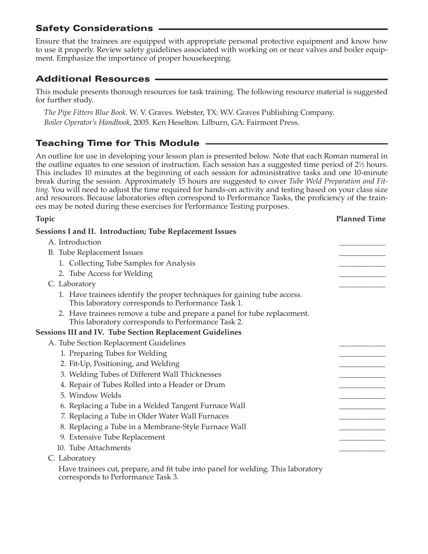# **Safety Considerations -**

Ensure that the trainees are equipped with appropriate personal protective equipment and know how to use it properly. Review safety guidelines associated with working on or near valves and boiler equipment. Emphasize the importance of proper housekeeping.

# Additional Resources

This module presents thorough resources for task training. The following resource material is suggested for further study.

*The Pipe Fitters Blue Book*. W. V. Graves. Webster, TX: W.V. Graves Publishing Company. *Boiler Operator's Handbook*, 2005. Ken Heselton. Lilburn, GA: Fairmont Press.

# Teaching Time for This Module

An outline for use in developing your lesson plan is presented below. Note that each Roman numeral in the outline equates to one session of instruction. Each session has a suggested time period of 2<sup>1</sup>/<sub>2</sub> hours. This includes 10 minutes at the beginning of each session for administrative tasks and one 10-minute break during the session. Approximately 15 hours are suggested to cover *Tube Weld Preparation and Fitting*. You will need to adjust the time required for hands-on activity and testing based on your class size and resources. Because laboratories often correspond to Performance Tasks, the proficiency of the trainees may be noted during these exercises for Performance Testing purposes.

## **Topic Planned Time Sessions I and II. Introduction; Tube Replacement Issues** A. Introduction B. Tube Replacement Issues 1. Collecting Tube Samples for Analysis 2. Tube Access for Welding C. Laboratory 1. Have trainees identify the proper techniques for gaining tube access. This laboratory corresponds to Performance Task 1. 2. Have trainees remove a tube and prepare a panel for tube replacement. This laboratory corresponds to Performance Task 2. **Sessions III and IV. Tube Section Replacement Guidelines** A. Tube Section Replacement Guidelines 1. Preparing Tubes for Welding 2. Fit-Up, Positioning, and Welding 3. Welding Tubes of Different Wall Thicknesses 4. Repair of Tubes Rolled into a Header or Drum 5. Window Welds 6. Replacing a Tube in a Welded Tangent Furnace Wall 7. Replacing a Tube in Older Water Wall Furnaces 8. Replacing a Tube in a Membrane-Style Furnace Wall 9. Extensive Tube Replacement 10. Tube Attachments C. Laboratory

 Have trainees cut, prepare, and fit tube into panel for welding. This laboratory corresponds to Performance Task 3.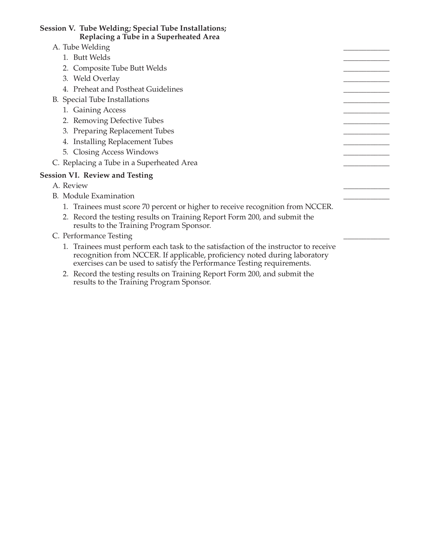| Session V. Tube Welding; Special Tube Installations;<br>Replacing a Tube in a Superheated Area                                                                                                                                                                                                   |  |
|--------------------------------------------------------------------------------------------------------------------------------------------------------------------------------------------------------------------------------------------------------------------------------------------------|--|
| A. Tube Welding                                                                                                                                                                                                                                                                                  |  |
| 1. Butt Welds                                                                                                                                                                                                                                                                                    |  |
| 2. Composite Tube Butt Welds                                                                                                                                                                                                                                                                     |  |
| 3. Weld Overlay                                                                                                                                                                                                                                                                                  |  |
| 4. Preheat and Postheat Guidelines                                                                                                                                                                                                                                                               |  |
| B. Special Tube Installations                                                                                                                                                                                                                                                                    |  |
| 1. Gaining Access                                                                                                                                                                                                                                                                                |  |
| 2. Removing Defective Tubes                                                                                                                                                                                                                                                                      |  |
| 3. Preparing Replacement Tubes                                                                                                                                                                                                                                                                   |  |
| 4. Installing Replacement Tubes                                                                                                                                                                                                                                                                  |  |
| 5. Closing Access Windows                                                                                                                                                                                                                                                                        |  |
| C. Replacing a Tube in a Superheated Area                                                                                                                                                                                                                                                        |  |
| <b>Session VI. Review and Testing</b>                                                                                                                                                                                                                                                            |  |
| A. Review                                                                                                                                                                                                                                                                                        |  |
| <b>B.</b> Module Examination                                                                                                                                                                                                                                                                     |  |
| 1. Trainees must score 70 percent or higher to receive recognition from NCCER.                                                                                                                                                                                                                   |  |
| 2. Record the testing results on Training Report Form 200, and submit the<br>results to the Training Program Sponsor.                                                                                                                                                                            |  |
| C. Performance Testing                                                                                                                                                                                                                                                                           |  |
| 1. Trainees must perform each task to the satisfaction of the instructor to receive<br>recognition from NCCER. If applicable, proficiency noted during laboratory<br>exercises can be used to satisfy the Performance Testing requirements.                                                      |  |
| $\mathbf{r}$ and $\mathbf{r}$ and $\mathbf{r}$ and $\mathbf{r}$ and $\mathbf{r}$ and $\mathbf{r}$ and $\mathbf{r}$ and $\mathbf{r}$ and $\mathbf{r}$ and $\mathbf{r}$ and $\mathbf{r}$ and $\mathbf{r}$ and $\mathbf{r}$ and $\mathbf{r}$ and $\mathbf{r}$ and $\mathbf{r}$ and $\mathbf{r}$ and |  |

 2. Record the testing results on Training Report Form 200, and submit the results to the Training Program Sponsor.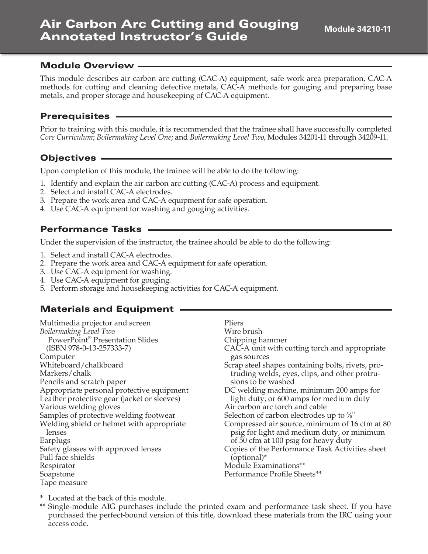# Air Carbon Arc Cutting and Gouging Annotated Instructor's Guide

#### Module Overview

This module describes air carbon arc cutting (CAC-A) equipment, safe work area preparation, CAC-A methods for cutting and cleaning defective metals, CAC-A methods for gouging and preparing base metals, and proper storage and housekeeping of CAC-A equipment.

#### Prerequisites

Prior to training with this module, it is recommended that the trainee shall have successfully completed *Core Curriculum*; *Boilermaking Level One*; and *Boilermaking Level Two*, Modules 34201-11 through 34209-11.

#### **Objectives**

Upon completion of this module, the trainee will be able to do the following:

- 1. Identify and explain the air carbon arc cutting (CAC-A) process and equipment.
- 2. Select and install CAC-A electrodes.
- 3. Prepare the work area and CAC-A equipment for safe operation.
- 4. Use CAC-A equipment for washing and gouging activities.

#### Performance Tasks

Under the supervision of the instructor, the trainee should be able to do the following:

- 1. Select and install CAC-A electrodes.
- 2. Prepare the work area and CAC-A equipment for safe operation.
- 3. Use CAC-A equipment for washing.
- 4. Use CAC-A equipment for gouging.
- 5. Perform storage and housekeeping activities for CAC-A equipment.

#### Materials and Equipment

Multimedia projector and screen *Boilermaking Level Two* PowerPoint® Presentation Slides (ISBN 978-0-13-257333-7) Computer Whiteboard/chalkboard Markers/chalk Pencils and scratch paper Appropriate personal protective equipment Leather protective gear (jacket or sleeves) Various welding gloves Samples of protective welding footwear Welding shield or helmet with appropriate lenses Earplugs Safety glasses with approved lenses Full face shields Respirator Soapstone Tape measure

Pliers Wire brush Chipping hammer CAC-A unit with cutting torch and appropriate gas sources Scrap steel shapes containing bolts, rivets, protruding welds, eyes, clips, and other protrusions to be washed DC welding machine, minimum 200 amps for light duty, or 600 amps for medium duty Air carbon arc torch and cable Selection of carbon electrodes up to 3 ⁄8" Compressed air source, minimum of 16 cfm at 80 psig for light and medium duty, or minimum of 50 cfm at 100 psig for heavy duty Copies of the Performance Task Activities sheet (optional)\* Module Examinations\*\* Performance Profile Sheets\*\*

\* Located at the back of this module.

\*\* Single-module AIG purchases include the printed exam and performance task sheet. If you have purchased the perfect-bound version of this title, download these materials from the IRC using your access code.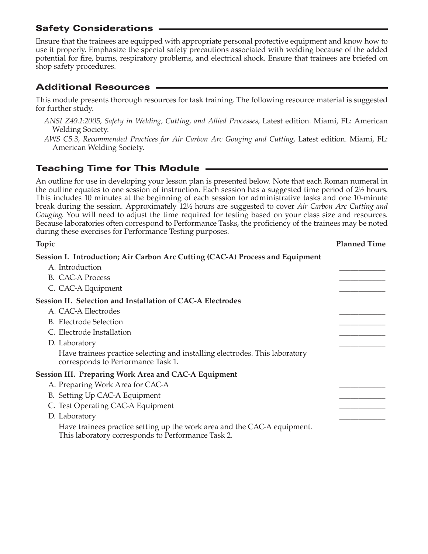## Safety Considerations

Ensure that the trainees are equipped with appropriate personal protective equipment and know how to use it properly. Emphasize the special safety precautions associated with welding because of the added potential for fire, burns, respiratory problems, and electrical shock. Ensure that trainees are briefed on shop safety procedures.

# Additional Resources

This module presents thorough resources for task training. The following resource material is suggested for further study.

- *ANSI Z49.1:2005, Safety in Welding, Cutting, and Allied Processes*, Latest edition. Miami, FL: American Welding Society.
- *AWS C5.3, Recommended Practices for Air Carbon Arc Gouging and Cutting*, Latest edition. Miami, FL: American Welding Society.

# Teaching Time for This Module

An outline for use in developing your lesson plan is presented below. Note that each Roman numeral in the outline equates to one session of instruction. Each session has a suggested time period of 2<sup>1</sup>/<sub>2</sub> hours. This includes 10 minutes at the beginning of each session for administrative tasks and one 10-minute break during the session. Approximately 121 ⁄2 hours are suggested to cover *Air Carbon Arc Cutting and Gouging*. You will need to adjust the time required for testing based on your class size and resources. Because laboratories often correspond to Performance Tasks, the proficiency of the trainees may be noted during these exercises for Performance Testing purposes.

| Topic                                                                                                                          | <b>Planned Time</b> |
|--------------------------------------------------------------------------------------------------------------------------------|---------------------|
| Session I. Introduction; Air Carbon Arc Cutting (CAC-A) Process and Equipment                                                  |                     |
| A. Introduction                                                                                                                |                     |
| <b>B.</b> CAC-A Process                                                                                                        |                     |
| C. CAC-A Equipment                                                                                                             |                     |
| <b>Session II. Selection and Installation of CAC-A Electrodes</b>                                                              |                     |
| A. CAC-A Electrodes                                                                                                            |                     |
| <b>B.</b> Electrode Selection                                                                                                  |                     |
| C. Electrode Installation                                                                                                      |                     |
| D. Laboratory                                                                                                                  |                     |
| Have trainees practice selecting and installing electrodes. This laboratory<br>corresponds to Performance Task 1.              |                     |
| <b>Session III. Preparing Work Area and CAC-A Equipment</b>                                                                    |                     |
| A. Preparing Work Area for CAC-A                                                                                               |                     |
| B. Setting Up CAC-A Equipment                                                                                                  |                     |
| C. Test Operating CAC-A Equipment                                                                                              |                     |
| D. Laboratory                                                                                                                  |                     |
| Have trainees practice setting up the work area and the CAC-A equipment.<br>This laboratory corresponds to Performance Task 2. |                     |